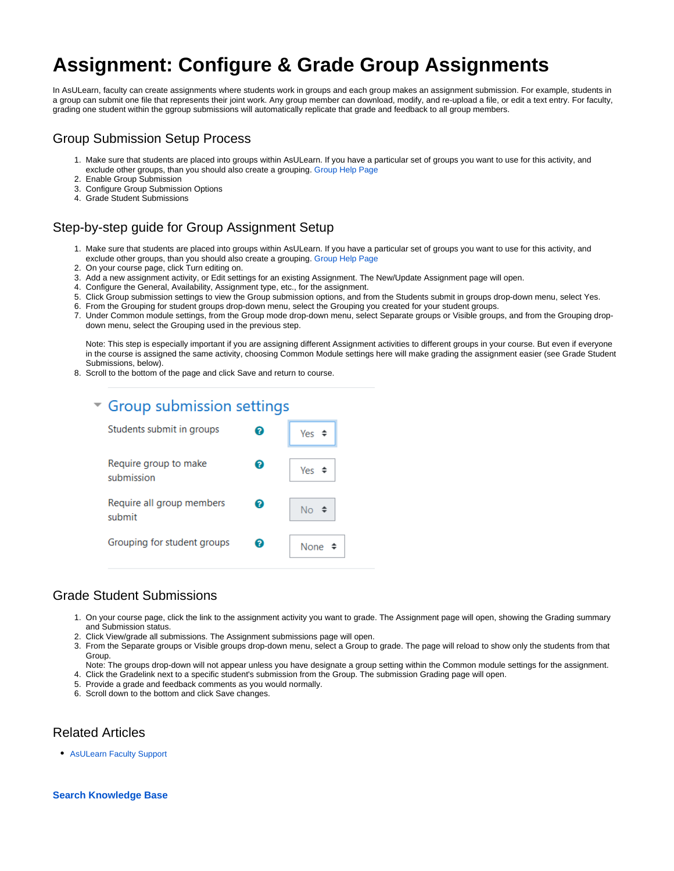# **Assignment: Configure & Grade Group Assignments**

In AsULearn, faculty can create assignments where students work in groups and each group makes an assignment submission. For example, students in a group can submit one file that represents their joint work. Any group member can download, modify, and re-upload a file, or edit a text entry. For faculty, grading one student within the ggroup submissions will automatically replicate that grade and feedback to all group members.

### Group Submission Setup Process

- 1. Make sure that students are placed into groups within AsULearn. If you have a particular set of groups you want to use for this activity, and exclude other groups, than you should also create a grouping. [Group Help Page](https://confluence.appstate.edu/x/xwLCAQ)
- 2. Enable Group Submission
- 3. Configure Group Submission Options
- 4. Grade Student Submissions

## Step-by-step guide for Group Assignment Setup

- 1. Make sure that students are placed into groups within AsULearn. If you have a particular set of groups you want to use for this activity, and exclude other groups, than you should also create a grouping. [Group Help Page](https://confluence.appstate.edu/x/xwLCAQ)
- 2. On your course page, click Turn editing on.
- 3. Add a new assignment activity, or Edit settings for an existing Assignment. The New/Update Assignment page will open.
- 4. Configure the General, Availability, Assignment type, etc., for the assignment.
- 5. Click Group submission settings to view the Group submission options, and from the Students submit in groups drop-down menu, select Yes.
- 6. From the Grouping for student groups drop-down menu, select the Grouping you created for your student groups.
- 7. Under Common module settings, from the Group mode drop-down menu, select Separate groups or Visible groups, and from the Grouping dropdown menu, select the Grouping used in the previous step.

Note: This step is especially important if you are assigning different Assignment activities to different groups in your course. But even if everyone in the course is assigned the same activity, choosing Common Module settings here will make grading the assignment easier (see Grade Student Submissions, below).

8. Scroll to the bottom of the page and click Save and return to course.

#### ▼ Group submission settings Constitution of the construction of the con-

| Students submit in groups           | 7 | Yes         |
|-------------------------------------|---|-------------|
| Require group to make<br>submission | 7 | Yes $\div$  |
| Require all group members<br>submit | 2 | No ≑        |
| Grouping for student groups         | 7 | None $\div$ |

#### Grade Student Submissions

- 1. On your course page, click the link to the assignment activity you want to grade. The Assignment page will open, showing the Grading summary and Submission status.
- 2. Click View/grade all submissions. The Assignment submissions page will open.
- 3. From the Separate groups or Visible groups drop-down menu, select a Group to grade. The page will reload to show only the students from that Group.
- Note: The groups drop-down will not appear unless you have designate a group setting within the Common module settings for the assignment.
- 4. Click the Gradelink next to a specific student's submission from the Group. The submission Grading page will open.
- 5. Provide a grade and feedback comments as you would normally.
- 6. Scroll down to the bottom and click Save changes.

#### Related Articles

• [AsULearn Faculty Support](https://confluence.appstate.edu/display/ATKB/AsULearn+Faculty+Support)

#### **[Search Knowledge Base](https://confluence.appstate.edu/display/ATKB)**